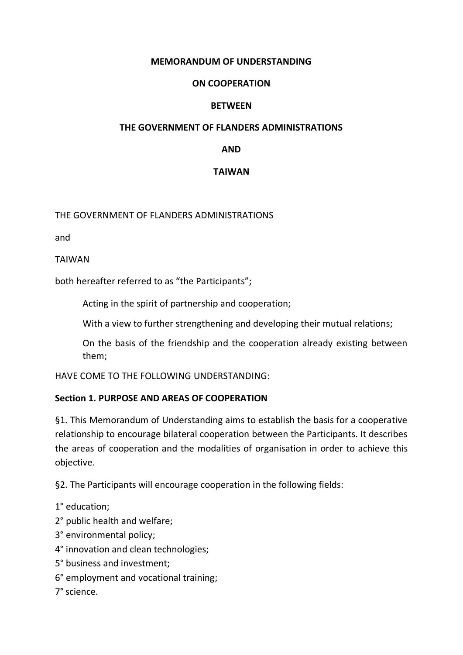### **MEMORANDUM OF UNDERSTANDING**

### **ON COOPERATION**

### **BETWEEN**

#### **THE GOVERNMENT OF FLANDERS ADMINISTRATIONS**

### **AND**

## **TAIWAN**

### THE GOVERNMENT OF FLANDERS ADMINISTRATIONS

and

TAIWAN

both hereafter referred to as "the Participants";

Acting in the spirit of partnership and cooperation;

With a view to further strengthening and developing their mutual relations;

On the basis of the friendship and the cooperation already existing between them;

HAVE COME TO THE FOLLOWING UNDERSTANDING:

## **Section 1. PURPOSE AND AREAS OF COOPERATION**

§1. This Memorandum of Understanding aims to establish the basis for a cooperative relationship to encourage bilateral cooperation between the Participants. It describes the areas of cooperation and the modalities of organisation in order to achieve this objective.

§2. The Participants will encourage cooperation in the following fields:

1° education;

2° public health and welfare;

- 3° environmental policy;
- 4° innovation and clean technologies;
- 5° business and investment;
- 6° employment and vocational training;

7° science.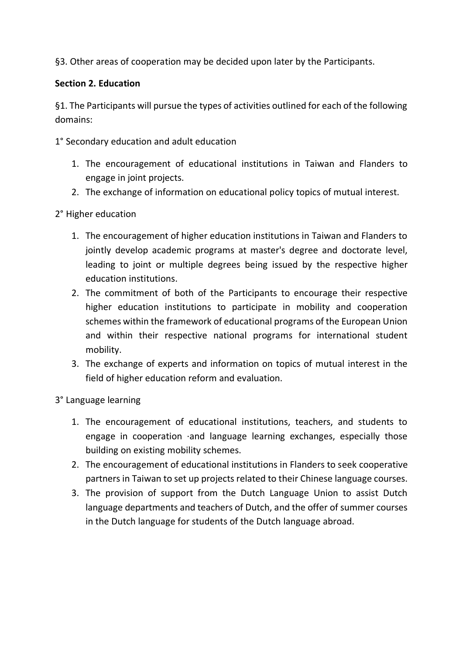§3. Other areas of cooperation may be decided upon later by the Participants.

# **Section 2. Education**

§1. The Participants will pursue the types of activities outlined for each of the following domains:

1° Secondary education and adult education

- 1. The encouragement of educational institutions in Taiwan and Flanders to engage in joint projects.
- 2. The exchange of information on educational policy topics of mutual interest.

2° Higher education

- 1. The encouragement of higher education institutions in Taiwan and Flanders to jointly develop academic programs at master's degree and doctorate level, leading to joint or multiple degrees being issued by the respective higher education institutions.
- 2. The commitment of both of the Participants to encourage their respective higher education institutions to participate in mobility and cooperation schemes within the framework of educational programs of the European Union and within their respective national programs for international student mobility.
- 3. The exchange of experts and information on topics of mutual interest in the field of higher education reform and evaluation.

3° Language learning

- 1. The encouragement of educational institutions, teachers, and students to engage in cooperation ·and language learning exchanges, especially those building on existing mobility schemes.
- 2. The encouragement of educational institutions in Flanders to seek cooperative partners in Taiwan to set up projects related to their Chinese language courses.
- 3. The provision of support from the Dutch Language Union to assist Dutch language departments and teachers of Dutch, and the offer of summer courses in the Dutch language for students of the Dutch language abroad.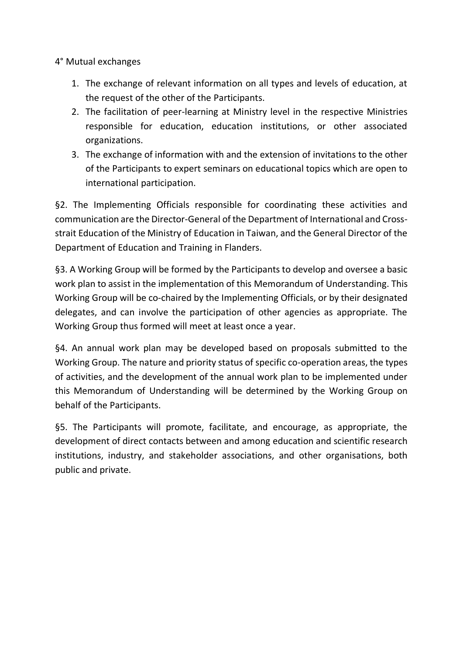4° Mutual exchanges

- 1. The exchange of relevant information on all types and levels of education, at the request of the other of the Participants.
- 2. The facilitation of peer-learning at Ministry level in the respective Ministries responsible for education, education institutions, or other associated organizations.
- 3. The exchange of information with and the extension of invitations to the other of the Participants to expert seminars on educational topics which are open to international participation.

§2. The Implementing Officials responsible for coordinating these activities and communication are the Director-General of the Department of International and Crossstrait Education of the Ministry of Education in Taiwan, and the General Director of the Department of Education and Training in Flanders.

§3. A Working Group will be formed by the Participants to develop and oversee a basic work plan to assist in the implementation of this Memorandum of Understanding. This Working Group will be co-chaired by the Implementing Officials, or by their designated delegates, and can involve the participation of other agencies as appropriate. The Working Group thus formed will meet at least once a year.

§4. An annual work plan may be developed based on proposals submitted to the Working Group. The nature and priority status of specific co-operation areas, the types of activities, and the development of the annual work plan to be implemented under this Memorandum of Understanding will be determined by the Working Group on behalf of the Participants.

§5. The Participants will promote, facilitate, and encourage, as appropriate, the development of direct contacts between and among education and scientific research institutions, industry, and stakeholder associations, and other organisations, both public and private.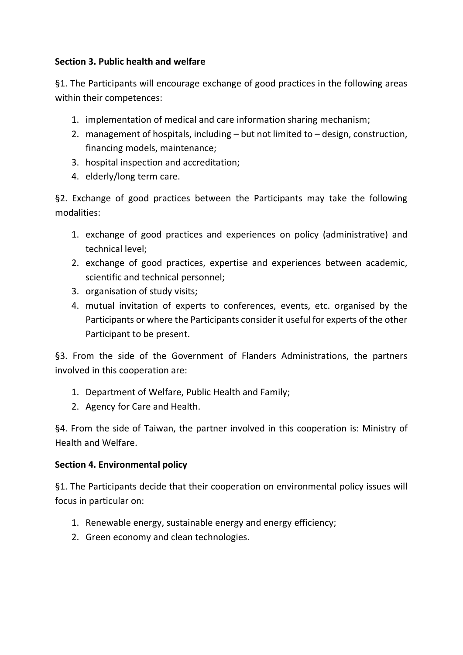# **Section 3. Public health and welfare**

§1. The Participants will encourage exchange of good practices in the following areas within their competences:

- 1. implementation of medical and care information sharing mechanism;
- 2. management of hospitals, including but not limited to design, construction, financing models, maintenance;
- 3. hospital inspection and accreditation;
- 4. elderly/long term care.

§2. Exchange of good practices between the Participants may take the following modalities:

- 1. exchange of good practices and experiences on policy (administrative) and technical level;
- 2. exchange of good practices, expertise and experiences between academic, scientific and technical personnel;
- 3. organisation of study visits;
- 4. mutual invitation of experts to conferences, events, etc. organised by the Participants or where the Participants consider it useful for experts of the other Participant to be present.

§3. From the side of the Government of Flanders Administrations, the partners involved in this cooperation are:

- 1. Department of Welfare, Public Health and Family;
- 2. Agency for Care and Health.

§4. From the side of Taiwan, the partner involved in this cooperation is: Ministry of Health and Welfare.

# **Section 4. Environmental policy**

§1. The Participants decide that their cooperation on environmental policy issues will focus in particular on:

- 1. Renewable energy, sustainable energy and energy efficiency;
- 2. Green economy and clean technologies.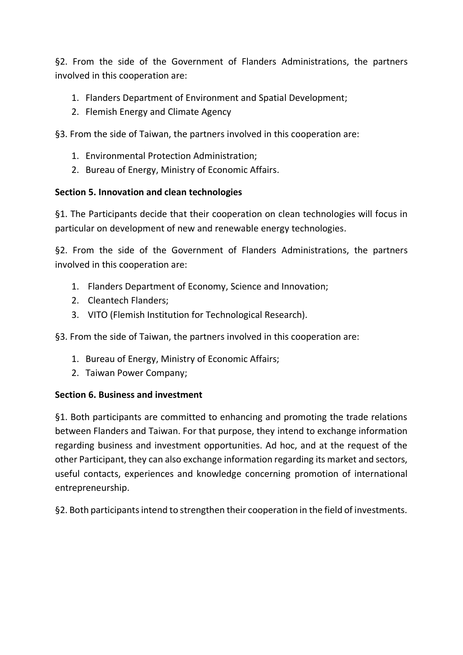§2. From the side of the Government of Flanders Administrations, the partners involved in this cooperation are:

- 1. Flanders Department of Environment and Spatial Development;
- 2. Flemish Energy and Climate Agency

§3. From the side of Taiwan, the partners involved in this cooperation are:

- 1. Environmental Protection Administration;
- 2. Bureau of Energy, Ministry of Economic Affairs.

## **Section 5. Innovation and clean technologies**

§1. The Participants decide that their cooperation on clean technologies will focus in particular on development of new and renewable energy technologies.

§2. From the side of the Government of Flanders Administrations, the partners involved in this cooperation are:

- 1. Flanders Department of Economy, Science and Innovation;
- 2. Cleantech Flanders;
- 3. VITO (Flemish Institution for Technological Research).

§3. From the side of Taiwan, the partners involved in this cooperation are:

- 1. Bureau of Energy, Ministry of Economic Affairs;
- 2. Taiwan Power Company;

## **Section 6. Business and investment**

§1. Both participants are committed to enhancing and promoting the trade relations between Flanders and Taiwan. For that purpose, they intend to exchange information regarding business and investment opportunities. Ad hoc, and at the request of the other Participant, they can also exchange information regarding its market and sectors, useful contacts, experiences and knowledge concerning promotion of international entrepreneurship.

§2. Both participants intend to strengthen their cooperation in the field of investments.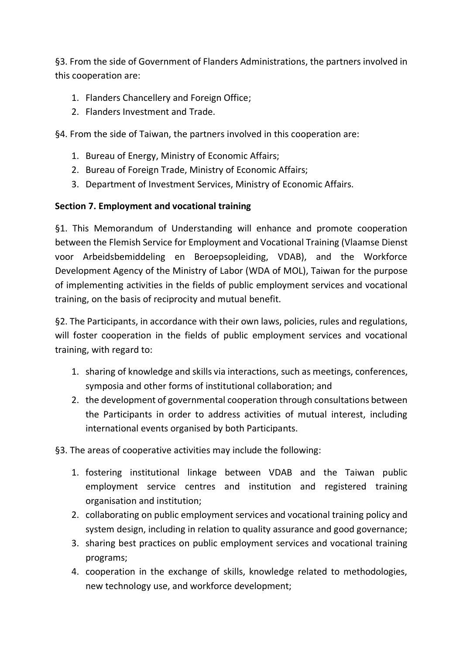§3. From the side of Government of Flanders Administrations, the partners involved in this cooperation are:

- 1. Flanders Chancellery and Foreign Office;
- 2. Flanders Investment and Trade.

§4. From the side of Taiwan, the partners involved in this cooperation are:

- 1. Bureau of Energy, Ministry of Economic Affairs;
- 2. Bureau of Foreign Trade, Ministry of Economic Affairs;
- 3. Department of Investment Services, Ministry of Economic Affairs.

# **Section 7. Employment and vocational training**

§1. This Memorandum of Understanding will enhance and promote cooperation between the Flemish Service for Employment and Vocational Training (Vlaamse Dienst voor Arbeidsbemiddeling en Beroepsopleiding, VDAB), and the Workforce Development Agency of the Ministry of Labor (WDA of MOL), Taiwan for the purpose of implementing activities in the fields of public employment services and vocational training, on the basis of reciprocity and mutual benefit.

§2. The Participants, in accordance with their own laws, policies, rules and regulations, will foster cooperation in the fields of public employment services and vocational training, with regard to:

- 1. sharing of knowledge and skills via interactions, such as meetings, conferences, symposia and other forms of institutional collaboration; and
- 2. the development of governmental cooperation through consultations between the Participants in order to address activities of mutual interest, including international events organised by both Participants.

§3. The areas of cooperative activities may include the following:

- 1. fostering institutional linkage between VDAB and the Taiwan public employment service centres and institution and registered training organisation and institution;
- 2. collaborating on public employment services and vocational training policy and system design, including in relation to quality assurance and good governance;
- 3. sharing best practices on public employment services and vocational training programs;
- 4. cooperation in the exchange of skills, knowledge related to methodologies, new technology use, and workforce development;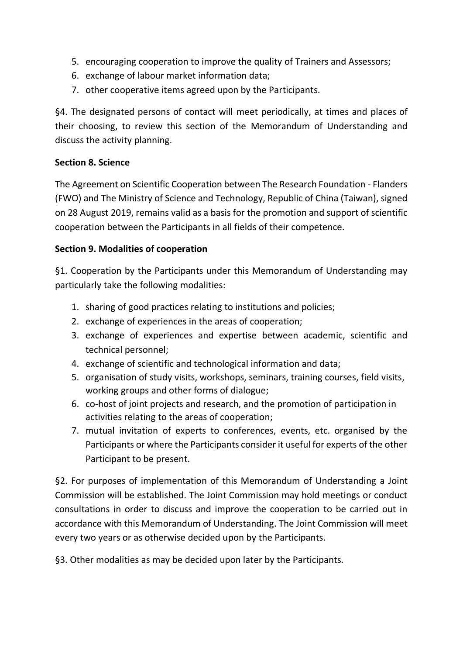- 5. encouraging cooperation to improve the quality of Trainers and Assessors;
- 6. exchange of labour market information data;
- 7. other cooperative items agreed upon by the Participants.

§4. The designated persons of contact will meet periodically, at times and places of their choosing, to review this section of the Memorandum of Understanding and discuss the activity planning.

# **Section 8. Science**

The Agreement on Scientific Cooperation between The Research Foundation - Flanders (FWO) and The Ministry of Science and Technology, Republic of China (Taiwan), signed on 28 August 2019, remains valid as a basis for the promotion and support of scientific cooperation between the Participants in all fields of their competence.

# **Section 9. Modalities of cooperation**

§1. Cooperation by the Participants under this Memorandum of Understanding may particularly take the following modalities:

- 1. sharing of good practices relating to institutions and policies;
- 2. exchange of experiences in the areas of cooperation;
- 3. exchange of experiences and expertise between academic, scientific and technical personnel;
- 4. exchange of scientific and technological information and data;
- 5. organisation of study visits, workshops, seminars, training courses, field visits, working groups and other forms of dialogue;
- 6. co-host of joint projects and research, and the promotion of participation in activities relating to the areas of cooperation;
- 7. mutual invitation of experts to conferences, events, etc. organised by the Participants or where the Participants consider it useful for experts of the other Participant to be present.

§2. For purposes of implementation of this Memorandum of Understanding a Joint Commission will be established. The Joint Commission may hold meetings or conduct consultations in order to discuss and improve the cooperation to be carried out in accordance with this Memorandum of Understanding. The Joint Commission will meet every two years or as otherwise decided upon by the Participants.

§3. Other modalities as may be decided upon later by the Participants.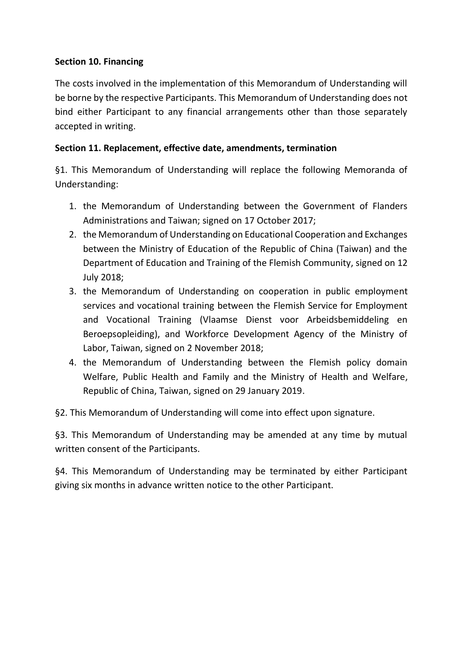## **Section 10. Financing**

The costs involved in the implementation of this Memorandum of Understanding will be borne by the respective Participants. This Memorandum of Understanding does not bind either Participant to any financial arrangements other than those separately accepted in writing.

# **Section 11. Replacement, effective date, amendments, termination**

§1. This Memorandum of Understanding will replace the following Memoranda of Understanding:

- 1. the Memorandum of Understanding between the Government of Flanders Administrations and Taiwan; signed on 17 October 2017;
- 2. the Memorandum of Understanding on Educational Cooperation and Exchanges between the Ministry of Education of the Republic of China (Taiwan) and the Department of Education and Training of the Flemish Community, signed on 12 July 2018;
- 3. the Memorandum of Understanding on cooperation in public employment services and vocational training between the Flemish Service for Employment and Vocational Training (Vlaamse Dienst voor Arbeidsbemiddeling en Beroepsopleiding), and Workforce Development Agency of the Ministry of Labor, Taiwan, signed on 2 November 2018;
- 4. the Memorandum of Understanding between the Flemish policy domain Welfare, Public Health and Family and the Ministry of Health and Welfare, Republic of China, Taiwan, signed on 29 January 2019.
- §2. This Memorandum of Understanding will come into effect upon signature.

§3. This Memorandum of Understanding may be amended at any time by mutual written consent of the Participants.

§4. This Memorandum of Understanding may be terminated by either Participant giving six months in advance written notice to the other Participant.